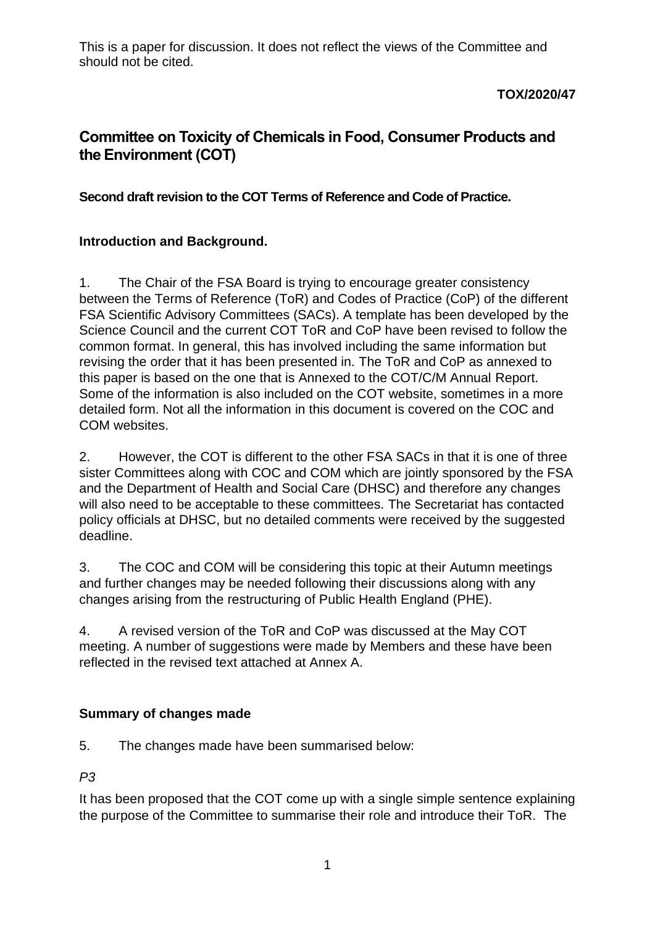This is a paper for discussion. It does not reflect the views of the Committee and should not be cited.

#### **TOX/2020/47**

# **Committee on Toxicity of Chemicals in Food, Consumer Products and the Environment (COT)**

**Second draft revision to the COT Terms of Reference and Code of Practice.**

#### **Introduction and Background.**

1. The Chair of the FSA Board is trying to encourage greater consistency between the Terms of Reference (ToR) and Codes of Practice (CoP) of the different FSA Scientific Advisory Committees (SACs). A template has been developed by the Science Council and the current COT ToR and CoP have been revised to follow the common format. In general, this has involved including the same information but revising the order that it has been presented in. The ToR and CoP as annexed to this paper is based on the one that is Annexed to the COT/C/M Annual Report. Some of the information is also included on the COT website, sometimes in a more detailed form. Not all the information in this document is covered on the COC and COM websites.

2. However, the COT is different to the other FSA SACs in that it is one of three sister Committees along with COC and COM which are jointly sponsored by the FSA and the Department of Health and Social Care (DHSC) and therefore any changes will also need to be acceptable to these committees. The Secretariat has contacted policy officials at DHSC, but no detailed comments were received by the suggested deadline.

3. The COC and COM will be considering this topic at their Autumn meetings and further changes may be needed following their discussions along with any changes arising from the restructuring of Public Health England (PHE).

4. A revised version of the ToR and CoP was discussed at the May COT meeting. A number of suggestions were made by Members and these have been reflected in the revised text attached at Annex A.

### **Summary of changes made**

5. The changes made have been summarised below:

*P3* 

It has been proposed that the COT come up with a single simple sentence explaining the purpose of the Committee to summarise their role and introduce their ToR. The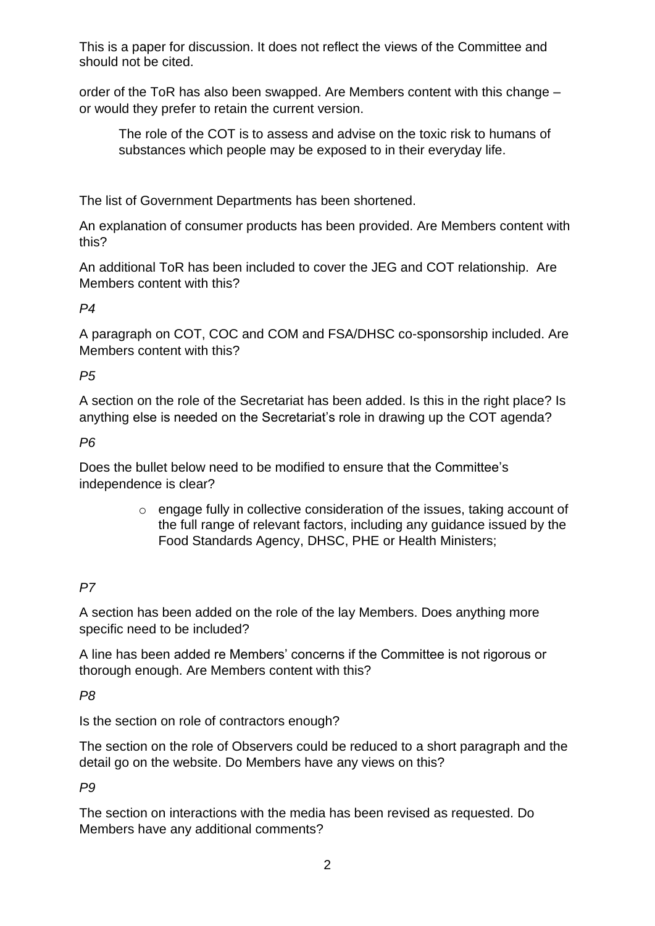This is a paper for discussion. It does not reflect the views of the Committee and should not be cited.

order of the ToR has also been swapped. Are Members content with this change – or would they prefer to retain the current version.

The role of the COT is to assess and advise on the toxic risk to humans of substances which people may be exposed to in their everyday life.

The list of Government Departments has been shortened.

An explanation of consumer products has been provided. Are Members content with this?

An additional ToR has been included to cover the JEG and COT relationship. Are Members content with this?

### *P4*

A paragraph on COT, COC and COM and FSA/DHSC co-sponsorship included. Are Members content with this?

### *P5*

A section on the role of the Secretariat has been added. Is this in the right place? Is anything else is needed on the Secretariat's role in drawing up the COT agenda?

#### *P6*

Does the bullet below need to be modified to ensure that the Committee's independence is clear?

> o engage fully in collective consideration of the issues, taking account of the full range of relevant factors, including any guidance issued by the Food Standards Agency, DHSC, PHE or Health Ministers;

### *P7*

A section has been added on the role of the lay Members. Does anything more specific need to be included?

A line has been added re Members' concerns if the Committee is not rigorous or thorough enough. Are Members content with this?

*P8*

Is the section on role of contractors enough?

The section on the role of Observers could be reduced to a short paragraph and the detail go on the website. Do Members have any views on this?

*P9*

The section on interactions with the media has been revised as requested. Do Members have any additional comments?